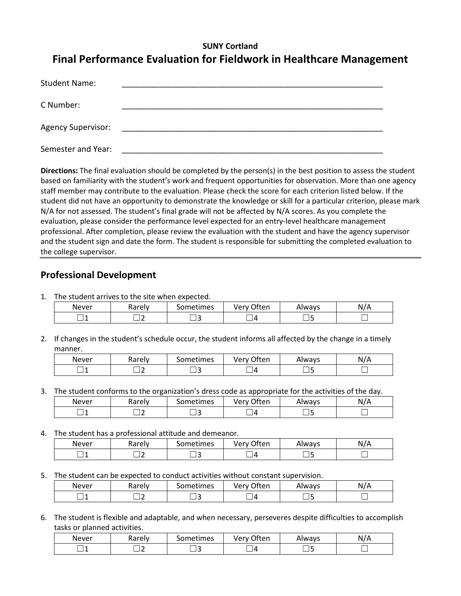# **SUNY Cortland Final Performance Evaluation for Fieldwork in Healthcare Management**

| <b>Student Name:</b>      |  |
|---------------------------|--|
| C Number:                 |  |
| <b>Agency Supervisor:</b> |  |
| Semester and Year:        |  |

**Directions:** The final evaluation should be completed by the person(s) in the best position to assess the student based on familiarity with the student's work and frequent opportunities for observation. More than one agency staff member may contribute to the evaluation. Please check the score for each criterion listed below. If the student did not have an opportunity to demonstrate the knowledge or skill for a particular criterion, please mark N/A for not assessed. The student's final grade will not be affected by N/A scores. As you complete the evaluation, please consider the performance level expected for an entry-level healthcare management professional. After completion, please review the evaluation with the student and have the agency supervisor and the student sign and date the form. The student is responsible for submitting the completed evaluation to the college supervisor.

### **Professional Development**

1. The student arrives to the site when expected.

| Never | Rarely | iometimes | つften<br>Verv    | Always | $\sim$ 1 $\mu$<br>N,<br>P |
|-------|--------|-----------|------------------|--------|---------------------------|
|       |        | ٠         | $\sqrt{ }$<br>__ | _      |                           |

2. If changes in the student's schedule occur, the student informs all affected by the change in a timely manner.

| Never | Rarely | -<br>Sometimes | <b>つften</b><br>verv ( | Always | N/A |
|-------|--------|----------------|------------------------|--------|-----|
|       |        |                |                        |        |     |

3. The student conforms to the organization's dress code as appropriate for the activities of the day.

| Never        | コヘッヘー<br><b>Adieiv</b> | . .<br>iometimes | ำften<br>verv<br>$\sim$ | Always | $\cdot$<br>N |
|--------------|------------------------|------------------|-------------------------|--------|--------------|
| -----<br>. . | --                     |                  | Д<br>-<br>_             |        |              |

4. The student has a professional attitude and demeanor.

| 7 H<br>Never | Rarely | . .<br>iometimes | าften<br>Ver<br> | Always | . . <i>. .</i><br>N |
|--------------|--------|------------------|------------------|--------|---------------------|
| . .          |        | -----<br>. .     | $\sqrt{2}$       |        |                     |

5. The student can be expected to conduct activities without constant supervision.

| Never | Rarely | . .<br>ometimes | つften<br>Jarv<br>$\mathbf{v}$<br>`~ | Always  | 1 L L<br>N/A |
|-------|--------|-----------------|-------------------------------------|---------|--------------|
|       |        |                 | $\sqrt{2}$                          | -<br>__ |              |

6. The student is flexible and adaptable, and when necessary, perseveres despite difficulties to accomplish tasks or planned activities.

| Never | karely. | . .<br>Sometimes | ำften<br>verv<br>∼ | Always | N/A |
|-------|---------|------------------|--------------------|--------|-----|
| - -   |         |                  | $\Delta$           |        |     |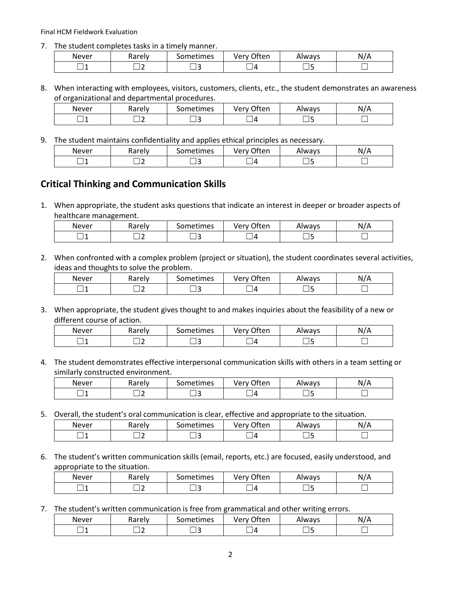Final HCM Fieldwork Evaluation

7. The student completes tasks in a timely manner.

| Never | Rarelv<br>w<br>nar<br>ີ | . .<br>ometimes | <sub>ी</sub> ften<br>very | Always | N/A |
|-------|-------------------------|-----------------|---------------------------|--------|-----|
|       | -                       | --              | $\prime$                  |        |     |

8. When interacting with employees, visitors, customers, clients, etc., the student demonstrates an awareness of organizational and departmental procedures.

| Never | -<br>Rarely | . .<br>ometimes | つften<br>verv 1 | Always | N/A |
|-------|-------------|-----------------|-----------------|--------|-----|
|       | ٠           | -               | Δ               | -      |     |

9. The student maintains confidentiality and applies ethical principles as necessary.

| Never | Rarely<br>יים ושו | ometimes | <b>つften</b><br>very ' | Always | N/<br>. |
|-------|-------------------|----------|------------------------|--------|---------|
|       | -                 |          |                        |        |         |

### **Critical Thinking and Communication Skills**

1. When appropriate, the student asks questions that indicate an interest in deeper or broader aspects of healthcare management.

| Never | -<br><b>Rarely</b> | . .<br>ometimesد | <b>Often</b><br>Verv | Always | N/A |
|-------|--------------------|------------------|----------------------|--------|-----|
| ×     |                    |                  | Д                    | __     |     |

2. When confronted with a complex problem (project or situation), the student coordinates several activities, ideas and thoughts to solve the problem.

| Never | Rarely | ometimes | ำften<br>verv | Always | N |
|-------|--------|----------|---------------|--------|---|
|       |        |          | Д             | .<br>_ |   |

3. When appropriate, the student gives thought to and makes inquiries about the feasibility of a new or different course of action.

| Never | <br>10001<br>vai eiv | metimes | ำften<br>ver<br>v | Always | N<br>r |
|-------|----------------------|---------|-------------------|--------|--------|
| --    |                      | . .     |                   |        |        |

4. The student demonstrates effective interpersonal communication skills with others in a team setting or similarly constructed environment.

| Never | Rarely | iometimes | ገften<br>Verv | Always | N<br>'N |
|-------|--------|-----------|---------------|--------|---------|
|       |        |           |               |        |         |

5. Overall, the student's oral communication is clear, effective and appropriate to the situation.

| Never | Rarely | Sometimes | <b>つften</b><br>Verv | Always | $\overline{\phantom{a}}$<br>. .<br>N.<br>-<br>. . |
|-------|--------|-----------|----------------------|--------|---------------------------------------------------|
|       |        | ــ        | L                    |        |                                                   |

6. The student's written communication skills (email, reports, etc.) are focused, easily understood, and appropriate to the situation.

| Never | -<br>Rarely | . .<br>Sometimes | Often<br>Verv | Always | N<br>N/A |
|-------|-------------|------------------|---------------|--------|----------|
|       | -<br>--     |                  | Δ             |        |          |

7. The student's written communication is free from grammatical and other writing errors.

| Never | <b>Rarely</b> | . .<br>ometimes | ገften<br>very' | Always | N |
|-------|---------------|-----------------|----------------|--------|---|
| __    |               |                 |                |        |   |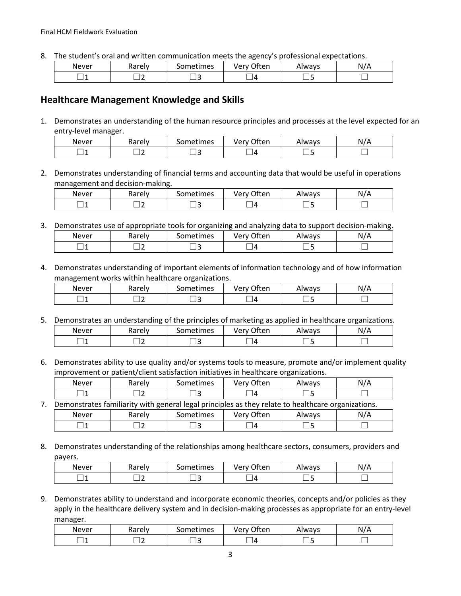8. The student's oral and written communication meets the agency's professional expectations.

| Never | Rarely | . .<br>iometimes | ำften<br>Verv | Always | N/r |
|-------|--------|------------------|---------------|--------|-----|
| -4    |        |                  | Д             |        |     |

#### **Healthcare Management Knowledge and Skills**

1. Demonstrates an understanding of the human resource principles and processes at the level expected for an entry-level manager.

| Never | karely | $\sim$<br>. .<br>iometimes | ำften<br>ver<br>v | Nways | N/A |
|-------|--------|----------------------------|-------------------|-------|-----|
|       |        |                            | Д                 |       |     |

2. Demonstrates understanding of financial terms and accounting data that would be useful in operations management and decision-making.

| Never | Rarely | iometimes | ำften<br>Verv            | Always | $\prime\prime$<br>N.<br>P |
|-------|--------|-----------|--------------------------|--------|---------------------------|
|       |        |           | $\overline{\phantom{a}}$ |        |                           |

3. Demonstrates use of appropriate tools for organizing and analyzing data to support decision-making.

| Never | Rarely | sometimes | つften<br>Verv | Always | N<br>11/11 |
|-------|--------|-----------|---------------|--------|------------|
| . .   |        |           |               | __     |            |

4. Demonstrates understanding of important elements of information technology and of how information management works within healthcare organizations.

| Never | Rarely | Sometimes | ำften<br>Verv<br>ີ | Always  | N/L<br>л.<br>. |
|-------|--------|-----------|--------------------|---------|----------------|
|       |        |           | Д                  | -<br>__ |                |

5. Demonstrates an understanding of the principles of marketing as applied in healthcare organizations.

| Never | Rarely | . .<br>iometimes | ำften<br>ven<br>∼ | Always | N<br>'/A |
|-------|--------|------------------|-------------------|--------|----------|
| -     | -      |                  | Δ                 |        |          |

6. Demonstrates ability to use quality and/or systems tools to measure, promote and/or implement quality improvement or patient/client satisfaction initiatives in healthcare organizations.

|                                                                                                    | Never | Rarely | <b>Sometimes</b> | Very Often | Always | N/A |  |
|----------------------------------------------------------------------------------------------------|-------|--------|------------------|------------|--------|-----|--|
|                                                                                                    |       |        |                  | - 14       |        |     |  |
| Demonstrates familiarity with general legal principles as they relate to healthcare organizations. |       |        |                  |            |        |     |  |
|                                                                                                    | Never | Rarely | <b>Sometimes</b> | Very Often | Always | N/A |  |
|                                                                                                    |       |        |                  | ∣⊿         |        |     |  |

8. Demonstrates understanding of the relationships among healthcare sectors, consumers, providers and payers.

| <b>Never</b> | karely | ometimes | つften<br>verv.<br>$\mathbf{v}$ | Always | N. |
|--------------|--------|----------|--------------------------------|--------|----|
|              | -      | سه       | Δ                              |        |    |

9. Demonstrates ability to understand and incorporate economic theories, concepts and/or policies as they apply in the healthcare delivery system and in decision-making processes as appropriate for an entry-level manager.

| Never | Rarely | . .<br>iometimes | <b>つften</b><br>verv | Always | \ I <i>I I</i><br>N<br>H |  |
|-------|--------|------------------|----------------------|--------|--------------------------|--|
|       |        |                  | $\prime$             |        |                          |  |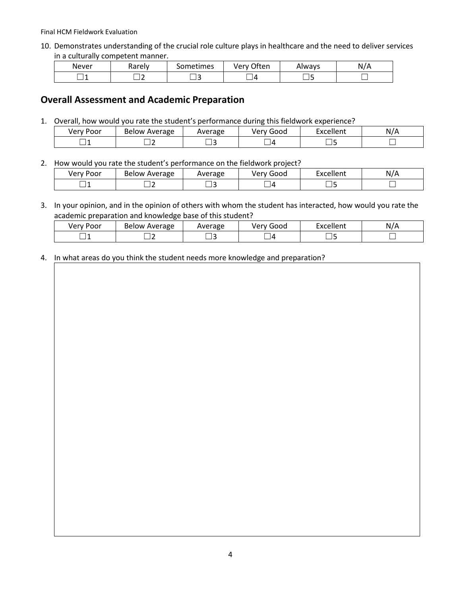Final HCM Fieldwork Evaluation

10. Demonstrates understanding of the crucial role culture plays in healthcare and the need to deliver services in a culturally competent manner.

| <b>Never</b> | Rarely | 3ometimes | <b>つften</b><br>√er ' | Always | N/.<br>$\sqrt{ }$<br>. . |
|--------------|--------|-----------|-----------------------|--------|--------------------------|
|              |        |           | Z                     |        |                          |

# **Overall Assessment and Academic Preparation**

1. Overall, how would you rate the student's performance during this fieldwork experience?

| VPT<br>$J_{\mathbf{a}}$<br>וטט<br>$\ddotsc$ | Average<br>Below | /erage<br>wei | $\overline{\phantom{0}}$<br>verv<br>Good | $n$ col<br>یہ م<br>,,,,,, | Ν. |
|---------------------------------------------|------------------|---------------|------------------------------------------|---------------------------|----|
| –<br>__                                     | __               |               |                                          |                           |    |

2. How would you rate the student's performance on the fieldwork project?

| Very Poor | -<br>Average<br>RAJOW | Average<br>avei | Goog       | -<br>.<br>Excell<br>ellent | N |
|-----------|-----------------------|-----------------|------------|----------------------------|---|
| -         | -                     |                 | $\sqrt{ }$ | _                          |   |

3. In your opinion, and in the opinion of others with whom the student has interacted, how would you rate the academic preparation and knowledge base of this student?

| verv<br>Door<br>וט | <b>Below</b><br>Average<br>. . | Average | . .<br>$\overline{\phantom{a}}$<br>000£<br>v | -<br>$\cdots$<br>11 C I I L | N.<br>$\cdot$ $\sim$ |
|--------------------|--------------------------------|---------|----------------------------------------------|-----------------------------|----------------------|
| __                 |                                |         | $\overline{ }$                               |                             |                      |

4. In what areas do you think the student needs more knowledge and preparation?